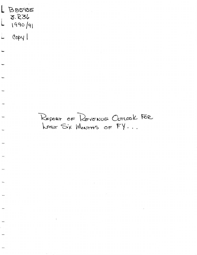3. R36  $\begin{array}{c} \begin{array}{c} \begin{array}{c} \begin{array}{c} \end{array} \end{array} \end{array} \end{array} \end{array}$ 1990/91  $log<sub>1</sub>$ L

> REPORT OF REVENUE OUTLOOK FOR LAST Six MONTHS OF FY...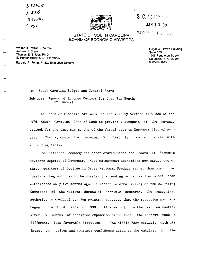$B$  8595 $\epsilon$  $3.836$  $1990/91$  $C_{\gamma\gamma}$ 



S. C. STATE LAW

JAN 1 0 1991

**STATE DEALER LIGHT** 

# STATE OF SOUTH CAROLINA **BOARD OF ECONOMIC ADVISORS**

Walter R. Pettiss, Chairman Andrew J. Crane Thomas E. Snider, Ph.D. S. Hunter Howard, Jr., Ex officio Barbara A. Feinn, Ph.D., Executive Director

Edgar A. Brown Building Suite 535 1205 Pendleton Street Columbia, S. C. 29201 803/734-1510

To: South Carolina Budget and Control Board

Subject: Report of Revenue Outlook for Last Six Months of FY 1990-91

The Board of Economic Advisors is required by Section 11-9-880 of the 1976 South Carolina Code of Laws to provide a synopsis of the revenue outlook for the last six months of the fiscal year on December 31st of each The synopsis for December 31, 1990 is provided herein with year. supporting tables.

The nation's economy has deteriorated since the Board of Economic Advisors Reports of November. Most mainstream economists now expect two or three quarters of decline in Gross National Product rather than one or two quarters beginning with the quarter just ending and an earlier onset than anticipated only two months ago. A recent informal ruling of the DC Dating Committee of the National Bureau of Economic Research, the recognized authority on cyclical turning points, suggests that the recession may have begun in the third quarter of 1990. At some point in the past few months, after 92 months of continued expansion since 1982, the economy took a different, less favorable direction. The Middle East situation with its impact on prices and consumer confidence acted as the catalyst for the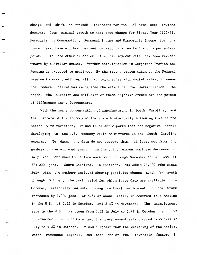change and shift in outlook. Forecasts for real GNP have been revised downward from minimal growth to near zero change for Fiscal Year 1990-91. Forecasts of Consumption, Personal Income and Disposable Income for the fiscal year have all been revised downward by a few tenths of a percentage point. In the other direction, the unemployment rate has been revised upward by a similar amount. Further deterioration in Corporate Profits and Housing is expected to continue. By the recent action taken by the Federal Reserve to ease credit and align official rates with market rates, it seems the Federal Reserve has recognized the extent of the deterioration. The depth, the duration and diffusion of these negative events are the points of difference among forecasters.

With the heavy concentration of manufacturing in South Carolina, and the pattern of the economy of the State historically following that of the nation with variation, it was to be anticipated that the negative trends developing in the U.S. economy would be mirrored in the South Carolina economy. To date, the data do not support this, at least not from the numbers on overall employment. In the U.S., persons employed decreased in July and continued to decline each month through November for a loss of 573,000 jobs. South Carolina, in contrast, has added 28,400 jobs since July with the numbers employed showing postitive change month by month through October, the last period for which State data are available. In October, seasonally adjusted nonagricultural employment in the State increased by 7,000 jobs, or *5.57.* at annual rates, in contrast to a decline in the U.S. of 0.2% in October, and 2.4% in November. The unemployment rate in the U.S. has risen from *5.57.* in July to *5.77.* in October, and *5.97.*  in November. In South Carolina, the unemployment rate dropped from 5.4% in July to 5.27. in October. It would appear that the weakening of the dollar, which increases exports, has been one of the favorable factors in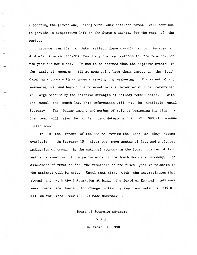supporting the growth and, along with lower interest rates, will continue to provide a comparative lift to the State's economy for the rest of the period.

Revenue results to date reflect these conditions but because of distortions in collections from Hugo, the implications for the remainder of the year are not clear. It has to be assumed that the negative events in the national economy will at some point have their impact on the South Carolina economy with revenues mirroring the weakening. The extent of any weakening over and beyond the forecast made in November will be determined in large measure by the relative strength of holiday retail sales. With the usual one month lag, this information will not be available until February. The dollar amount and number of refunds beginning the first of the year will also be an important determinant in FY 1990-91 revenue collections.

It is the intent of the BEA to review the data as they become available. On February 15, after two more months of data and a clearer indication of trends in the national economy in the fourth quarter of 1990 and an evaluation of the performance of the South Carolina economy, an assessment of revenues for the remainder of the fiscal year in relation to the estimate will be made. Until that time, with the uncertainties that abound and with the information at hand, the Board of Economic Advisors sees inadequate basis for change in the revised estimate of \$3510.3 million for Fiscal Year 1990-91 made November 9.

Board of Economic Advisors

W.R.P.

December 31, 1990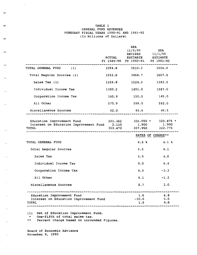#### TABLE I GENERAL FUND REVENUES FORECAST FISCAL YEARS 1990-91 AND 1991-92 (In Millions of Dollars)

|                                                                                                                     |        | BEA<br>11/9/90<br>REVISED $11/1/90$<br>ACTUAL ESTIMATE ESTIMATE<br>FY 1989-90 FY 1990-91 FY 1991-92 | <b>BEA</b>                |
|---------------------------------------------------------------------------------------------------------------------|--------|-----------------------------------------------------------------------------------------------------|---------------------------|
| TOTAL GENERAL FUND (1)                                                                                              |        | 3294.8 3510.3 3654.0                                                                                |                           |
| Total Regular Sources (1)                                                                                           |        | 3252.8 3464.7                                                                                       | 3607.5                    |
| Sales Tax $(1)$                                                                                                     |        | $1155.8$ $1224.2$                                                                                   | 1283.5                    |
| Individual Income Tax                                                                                               | 1380.2 | 1491.0                                                                                              | 1587.0                    |
| Corporation Income Tax                                                                                              |        | 140.9 150.0 145.0                                                                                   |                           |
| All Other                                                                                                           |        | 575.9 599.5 592.0                                                                                   |                           |
| Miscellaneous Sources                                                                                               |        | 42.0 45.6 46.5                                                                                      |                           |
| Education Improvement Fund $301.362$ $306.050 * 320.875 *$<br>Interest on Education Improvement Fund 2.110<br>TOTAL |        | 1.900<br>303.472 307.950 322.775                                                                    | 1.900                     |
|                                                                                                                     |        |                                                                                                     | RATES OF CHANGE**         |
| TOTAL GENERAL FUND                                                                                                  |        |                                                                                                     | $6.5%$ $4.1%$             |
| Total Regular Sources                                                                                               |        | 6.5                                                                                                 | 4.1                       |
| Sales Tax                                                                                                           |        |                                                                                                     | 5.9<br>4.8                |
| Individual Income Tax                                                                                               |        |                                                                                                     | 8.0 6.4                   |
| Corporation Income Tax                                                                                              |        | 6.5                                                                                                 | $-3.3$                    |
| All Other                                                                                                           |        | 4.1                                                                                                 | $-1.2$                    |
| Miscellaneous Sources<br>_____________________                                                                      |        |                                                                                                     | $8.7$ 2.0                 |
| Education Improvement Fund<br>Interest on Education Improvement Fund<br><b>TOTAL</b>                                |        | $-10.0$<br>1.5                                                                                      | $1.6$ $4.8$<br>0.0<br>4.8 |

(1) Net of Education Improvement Fund.<br>\* One-fifth of total sales tax.

\* One-fifth of total sales tax.<br>\*\* Percent change based on unrous

Percent change based on unrounded figures.

Board of Economic Advisors November 9, 1990

 $\sim$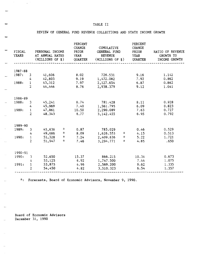#### TABLE II

# REVIEW OF GENERAL FUND REVENUE COLLECTIONS AND STATE INCOME GROWTH

| FISCAL<br><b>YEARS</b> |                                | PERSONAL INCOME<br>AT ANNUAL RATES<br>(MILLIONS OF \$) |           | PERCENT<br>CHANGE<br>PRIOR<br><b>YEAR</b><br><b>QUARTER</b> | CUMULATIVE<br>GENERAL FUND<br><b>REVENUE</b><br>(MILLIONS OF \$) |                            | PERCENT<br><b>CHANGE</b><br>PRIOR<br><b>YEAR</b><br>QUARTER | RATIO OF REVENUE<br>GROWTH TO<br>INCOME GROWTH |
|------------------------|--------------------------------|--------------------------------------------------------|-----------|-------------------------------------------------------------|------------------------------------------------------------------|----------------------------|-------------------------------------------------------------|------------------------------------------------|
|                        |                                |                                                        |           |                                                             |                                                                  |                            |                                                             |                                                |
| $1987 - 88$            |                                |                                                        |           |                                                             |                                                                  |                            |                                                             |                                                |
| 1987:                  | 3                              | 41,606                                                 |           | 8.02                                                        | 726.531                                                          |                            | 9.16                                                        | 1.142                                          |
|                        | 4                              | 42,803                                                 |           | 9.19                                                        | 1,472.082                                                        |                            | 7.92                                                        | 0.862                                          |
| 1988:                  | $1\,$                          | 43,312                                                 |           | 7.97                                                        | 2,127.654                                                        |                            | 6.87                                                        | 0.862                                          |
|                        | $\overline{2}$                 | 44,446                                                 |           | 8.76                                                        | 2,938.379                                                        |                            | 9.12                                                        | 1.041                                          |
|                        |                                |                                                        |           |                                                             |                                                                  |                            |                                                             |                                                |
| 1988-89                |                                |                                                        |           |                                                             |                                                                  |                            |                                                             |                                                |
| 1988:                  | 3                              | 45,241                                                 |           | 8.74                                                        | 781.428                                                          |                            | 8.11                                                        | 0.928                                          |
|                        | 4                              | 45,969                                                 |           | 7.40                                                        | 1,561.795                                                        |                            | 6.09                                                        | 0.823                                          |
| 1989:                  | $\,1$                          | 47,861                                                 |           | 10.50                                                       | 2,290.089                                                        |                            | 7.63                                                        | 0.727                                          |
|                        | $\overline{2}$                 | 48,343                                                 |           | 8.77                                                        | 3,142.455                                                        |                            | 6.95                                                        | 0.792                                          |
|                        |                                |                                                        |           |                                                             |                                                                  |                            |                                                             |                                                |
| 1989-90                |                                |                                                        | ☆         | 0.87                                                        |                                                                  |                            |                                                             | 0.529                                          |
| 1989:                  | 3                              | 45,636<br>49,686                                       | *         | 8.09                                                        | 785.029                                                          | $\mathcal{N}$              | 0.46<br>4.15                                                | 0.513                                          |
| 1990:                  | 4                              | 51,328                                                 | ☆         |                                                             | 1,626.553                                                        | $\sim$                     | 5.22                                                        | 1.721                                          |
|                        | $\mathbf{1}$<br>$\overline{2}$ | 51,947                                                 | $\approx$ | 7.24<br>7.46                                                | 2,409.636<br>3,294.771                                           | $\boldsymbol{\mathcal{R}}$ | 4.85                                                        | .650                                           |
|                        |                                |                                                        |           |                                                             |                                                                  |                            |                                                             |                                                |
| 1990-91                |                                |                                                        |           |                                                             |                                                                  |                            |                                                             |                                                |
| 1990:                  | 3                              | 52,650                                                 |           | 15.37                                                       | 866.215                                                          |                            | 10.34                                                       | 0.673                                          |
|                        | 4                              | 53,125                                                 |           | 6.92                                                        | 1,747.500                                                        |                            | 7.44                                                        | 1.075                                          |
| 1991:                  | $\mathbf{1}$                   | 53,875                                                 |           | 4.96                                                        | 2,569.200                                                        |                            | 6.62                                                        | 1.335                                          |
|                        | 2                              | 54,450                                                 |           | 4.82                                                        | 3,510.323                                                        |                            | 6.54                                                        | 1.357                                          |

\*: Forecasts, Board of Economic Advisors, November 9, 1990.

Board of Economic Advisors December 31, 1990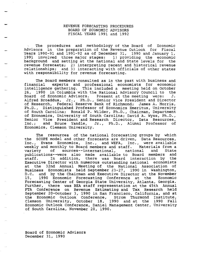## REVENUE FORECASTING PROCEDURES BOARD OF ECONOMIC ADVISORS FISCAL YEARS 1991 and 1992

The procedures and methodology of the Board of Economic Advisors in the preparation of the Revenue Outlook for Fiscal Years 1990-91 and 1991-92 as of December 31, 1990 and January 1, 1991 involved three major stages: 1) providing the economic background and setting at the national and State levels for the revenue forecasts; 2) interpreting recent and historical revenue relationships; and 3) interacting with officials of other states with responsibility for revenue forecasting.

The Board members consulted as in the past with business and financial experts and professional economists for economic intelligence gathering. This included a meeting held on October 26, 1990 in Columbia with the National Advisory Council to the Board of Economic Advisors. Present at the meeting were: J. Board of Economic Advisors. Present at the meeting were: Alfred Broaddus, Jr., Ph.D., Senior Vice President and Director of Research, Federal Reserve Bank of Richmond; James A. Morris, Ph.D., Distinguished Professor of Economics Emeritus, University of South Carolina; Ronald P. Wilder, Ph.D., Chairman, Department of Economics, University of South Carolina; David A. Wyss, Ph.D., Senior Vice President and Research Director, Data Resources, Inc.; and Bruce Yandle, Jr., Ph.D., Alumni Professor of Economics, Clemson University.

The resources of the national forecasting groups by which the SCOPE model and other forecasts are driven, Data Resources, Inc., Evans Economics, Inc., and WEFA, Inc., were available weekly and monthly to Board members and staff. Materials from a<br>variety of sources--international. national and State variety of sources--international, national publications--were also made available to Board members and staff. In addition, there was Board interaction by the Executive Director with numerous outstanding national economists at the 32nd Annual Meeting of the National Association of Business Economists held September 23-27, 1990 in Washington, D.C. and by the Chairman and Executive Director at the November 15, 1990 Economic Forecasting Conference at the Economic Forecasting Center of Georgia State University, Atlanta, Georgia. Further, there was BEA staff representation at the 45th Annual FTA Conference on Revenue Estimating and Tax Research held September 20-0ctober 3, 1990 in San Francisco, california, and at the Economic Outlook Conference, Strom Thurmond Institute, Clemson University, October 18, 1990 and at the 1990 Fall Economic Outlook Conference, Daniel Management Center, University of South Carolina, November 20, 1990.

Board of Economic Advisors December 31, 1990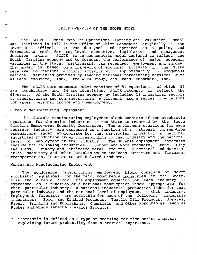#### BRIEF OVERVIEW OF THE SCOPE MODEL

The SCOPE (South Carolina Operations Planning and Evaluation) Model was initiated in 1972 in the Office of Chief Economist (originally in the Governor's office). It was designed and operated as a policy and Governor's office). It was designed and operated as a policy forecasting tool for top level executive, legislative and management decision making. SCOPE is an econometric model designed to reflect the South Carolina economy and to forecast the performance of major economic - variables in the State, particularly tax revenues, employment and income. The model is based on a framework of economic activity in the State relative to national economic activity with approximately 85 exogenous national variables provided by leading national forecasting services such as Data Resources, Inc., the WEFA Group, and Evans Economics, Inc.

The SCOPE core economic model consists of 51 equations, of which 37 are stochastic\* and 14 are identities. SCOPE attempts to reflect the diversity of the South Carolina economy by including 19 industrial sectors of manufacturing and nonmanufacturing employment, and a series of equations for wages, personal income and unemployment.

### Durable Manufacturing Employment

The durable manufacturing employment block consists of ten stochastic equations for the major industries in the State as reported by the South Carolina Employment Security Commission. The employment equations for each - separate industry are expressed as a function of a national consumption expenditure index appropriate for that particular industry, a national industrial production index corresponding to that industry and the national level of employment in that industry. The durable employment forecasts include the following industries: Lumber and Wood Products, Stone, Clay and Glass, Primary and Fabricated Metal Products, Electrical and Nonelectrical Machinery and Other Durables which includes Furniture and Fixtures, Transportation, Instruments and Related Products.

#### Nondurable Manufacturing Employment

The nondurable manufacturing employment block consists of seven stochastic equations for the major nondurable industries in the State. Like the durable block, the employment equation for each industry is expressed as a function of a national consumption index appropriate for that particular industry, a national industrial production index for that particular industry and the national level of employment in that industry. Employment forecasts are available for each of the following nondurable industries: Food and Kindred Products, Textile Mill Products, Apparel, Paper, Printing and Publishing, Chemicals and Other Nondurables, such as - Rubber and Miscellaneous Plastics Products.

Stochastic is defined as a type of modeling for time series analysis explaining future probability from historical experience.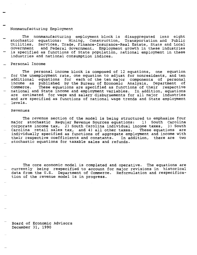#### Nonmanufacturing Employment

The nonmanufacturing employment block is disaggregated into eight stochastic equations: Mining, Construction, Transportation and Public Utilities, Services, Trade, Finance-Insurance-Real Estate, State and Local<br>Government and Federal Government. Employment growth in these industries and Federal Government. Employment growth in these industries is specified as functions of State population, national employment in these industries and national consumption indices.

Personal Income

The personal income block is composed of 12 equations, one equation for the unemployment rate, one equation to adjust for nonresidents, and ten additional equations for each of the ten major components of personal income as published by the Bureau of Economic Analysis, Department of Commerce. These equations are specified as functions of their respective national and State income and employment variables. In addition, equations are estimated for wage and salary disbursements for all major industries and are specified as functions of national wage trends and State employment levels.

#### Revenues

The revenue section of the model is being structured to emphasize four major stochastic Regular Revenue Sources equations: 1) South Carolina corporate income tax, 2) South Carolina individual income taxes, 3) South Carolina retail sales tax, and 4) all other taxes. These equations are individually specified as functions of aggregate employment and income with their respective coefficients and constants. In addition, there are two stochastic equations for taxable sales and refunds.

The core economic model is completed and operative. The equations are currently being respecified to account for major revisions in historical data from the u.s. Department of Commerce. Reformulation and respecification of the revenue model is in progress.

Board of Economic Advisors December 31, 1990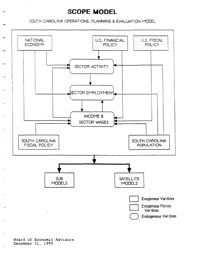# **SCOPE MODEL**

SOUTH CAROLINA OPERATIONS, PLANNING & EVALUATION MODEL

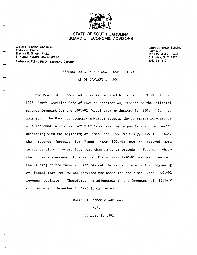

# STATE OF SOUTH CAROLINA BOARD OF ECONOMIC ADVISORS

Walter A. Pettiss, Chairman Andrew J. Crane Thomas E. Snider, Ph.D. S. Hunter Howard, Jr., Ex officio Barbara A. Feinn, Ph.D., Executive Director

Edgar A. Brown Building Suite 535 1205 Pendleton Street Columbia, S. C. 29201 803/734-151 0

REVENUE OUTLOOK - FISCAL YEAR 1991-92

AS OF JANUARY 1, 1991

The Board of Economic Advisors is required by Section 11-9-880 of the 1976 South Carolina Code of Laws to consider adjustments to the official revenue forecast for the 1991-92 fiscal year on January 1, 1991. It has done so. The Board of Economic Advisors accepts the consensus forecast of a turnaround in economic activity from negative to positive in the quarter coinciding with the beginning of Fiscal Year 1991-92 (July, 1991). Thus, the revenue forecast for Fiscal Year 1991-92 can be derived more independently of the previous year than in other periods. Further, while the consensus economic forecast for Fiscal Year 1990-91 has been revised, the timing of the turning point has not changed and remains the beginning of Fiscal Year 1991-92 and provides the basis for the Fiscal Year 1991-92 revenue estimate. Therefore, no adjustment in the forecast of \$3654.0 million made on November 1, 1990 is warranted.

Board of Economic Advisors

W.R.P.

January 1, 1991